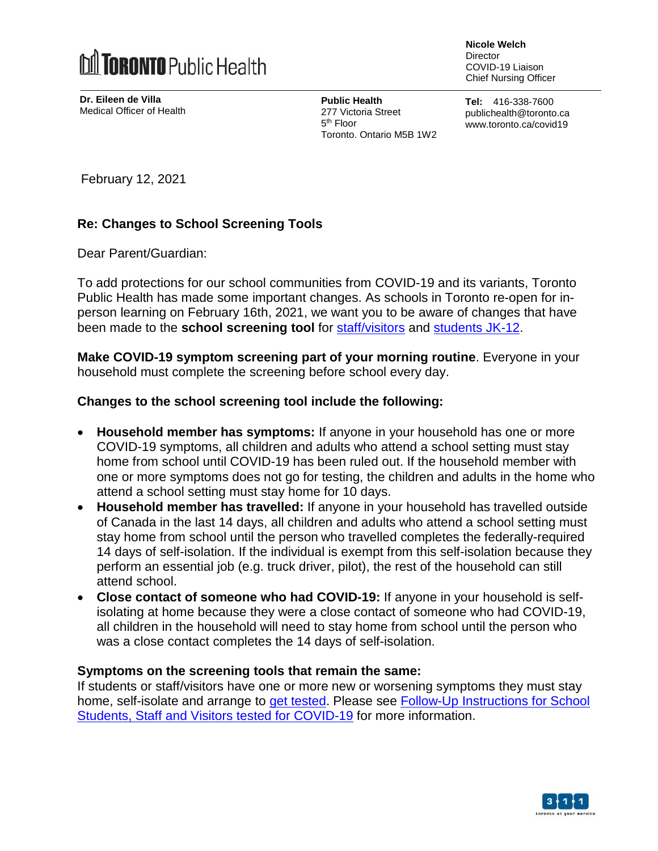

**Dr. Eileen de Villa** Medical Officer of Health **Nicole Welch Director** COVID-19 Liaison Chief Nursing Officer

**Public Health** 277 Victoria Street 5<sup>th</sup> Floor Toronto, Ontario M5B 1W2 **Tel:** 416-338-7600 publichealth@toronto.ca www.toronto.ca/covid19

February 12, 2021

## **Re: Changes to School Screening Tools**

Dear Parent/Guardian:

To add protections for our school communities from COVID-19 and its variants, Toronto Public Health has made some important changes. As schools in Toronto re-open for inperson learning on February 16th, 2021, we want you to be aware of changes that have been made to the **school screening tool** for [staff/visitors](https://www.toronto.ca/wp-content/uploads/2020/12/9242-Screening-Questionaire-for-Staff-Visitors.pdf) and [students](https://www.toronto.ca/wp-content/uploads/2020/08/94e5-Survey-poster-Schools.pdf) JK-12.

**Make COVID-19 symptom screening part of your morning routine**. Everyone in your household must complete the screening before school every day.

## **Changes to the school screening tool include the following:**

- **Household member has symptoms:** If anyone in your household has one or more COVID-19 symptoms, all children and adults who attend a school setting must stay home from school until COVID-19 has been ruled out. If the household member with one or more symptoms does not go for testing, the children and adults in the home who attend a school setting must stay home for 10 days.
- **Household member has travelled:** If anyone in your household has travelled outside of Canada in the last 14 days, all children and adults who attend a school setting must stay home from school until the person who travelled completes the federally-required 14 days of self-isolation. If the individual is exempt from this self-isolation because they perform an essential job (e.g. truck driver, pilot), the rest of the household can still attend school.
- **Close contact of someone who had COVID-19:** If anyone in your household is selfisolating at home because they were a close contact of someone who had COVID-19, all children in the household will need to stay home from school until the person who was a close contact completes the 14 days of self-isolation.

## **Symptoms on the screening tools that remain the same:**

If students or staff/visitors have one or more new or worsening symptoms they must stay home, self-isolate and arrange to get [tested.](https://www.toronto.ca/home/covid-19/covid-19-what-you-should-do/covid-19-have-symptoms-or-been-exposed/covid-19-assessment-centres/) Please see **Follow-Up [Instructions](https://www.toronto.ca/wp-content/uploads/2020/09/9720-COVID-19-Instructions-for-School-Students-Staff-Visitors-Tested-for-COVID-19.pdf) for School** Students, Staff and Visitors tested for [COVID-19](https://www.toronto.ca/wp-content/uploads/2020/09/9720-COVID-19-Instructions-for-School-Students-Staff-Visitors-Tested-for-COVID-19.pdf) for more information.